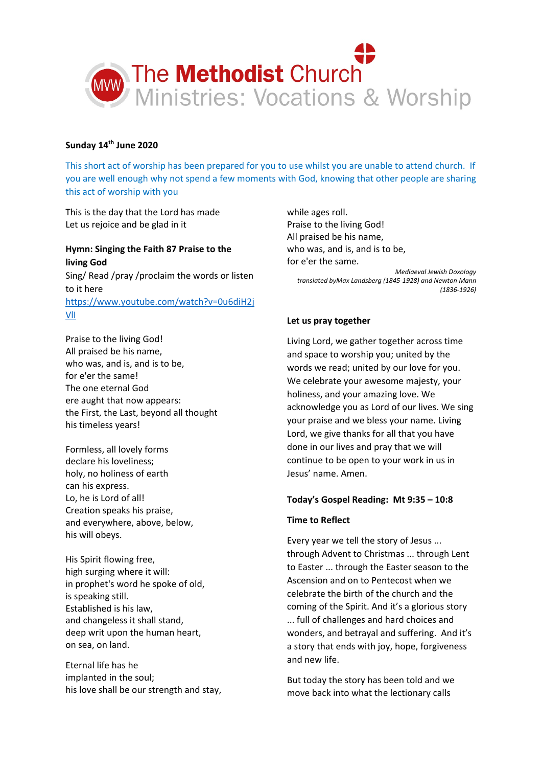

## **Sunday 14th June 2020**

This short act of worship has been prepared for you to use whilst you are unable to attend church. If you are well enough why not spend a few moments with God, knowing that other people are sharing this act of worship with you

This is the day that the Lord has made Let us rejoice and be glad in it

## **Hymn: Singing the Faith 87 Praise to the living God**

Sing/ Read /pray /proclaim the words or listen to it here [https://www.youtube.com/watch?v=0u6diH2j](https://www.youtube.com/watch?v=0u6diH2jVlI) [VlI](https://www.youtube.com/watch?v=0u6diH2jVlI)

Praise to the living God! All praised be his name, who was, and is, and is to be, for e'er the same! The one eternal God ere aught that now appears: the First, the Last, beyond all thought his timeless years!

Formless, all lovely forms declare his loveliness; holy, no holiness of earth can his express. Lo, he is Lord of all! Creation speaks his praise, and everywhere, above, below, his will obeys.

His Spirit flowing free, high surging where it will: in prophet's word he spoke of old, is speaking still. Established is his law, and changeless it shall stand, deep writ upon the human heart, on sea, on land.

Eternal life has he implanted in the soul; his love shall be our strength and stay, while ages roll. Praise to the living God! All praised be his name, who was, and is, and is to be, for e'er the same.

*Mediaeval Jewish Doxology translated byMax Landsberg (1845-1928) and Newton Mann (1836-1926)*

# **Let us pray together**

Living Lord, we gather together across time and space to worship you; united by the words we read; united by our love for you. We celebrate your awesome majesty, your holiness, and your amazing love. We acknowledge you as Lord of our lives. We sing your praise and we bless your name. Living Lord, we give thanks for all that you have done in our lives and pray that we will continue to be open to your work in us in Jesus' name. Amen.

## **Today's Gospel Reading: Mt 9:35 – 10:8**

## **Time to Reflect**

Every year we tell the story of Jesus ... through Advent to Christmas ... through Lent to Easter ... through the Easter season to the Ascension and on to Pentecost when we celebrate the birth of the church and the coming of the Spirit. And it's a glorious story ... full of challenges and hard choices and wonders, and betrayal and suffering. And it's a story that ends with joy, hope, forgiveness and new life.

But today the story has been told and we move back into what the lectionary calls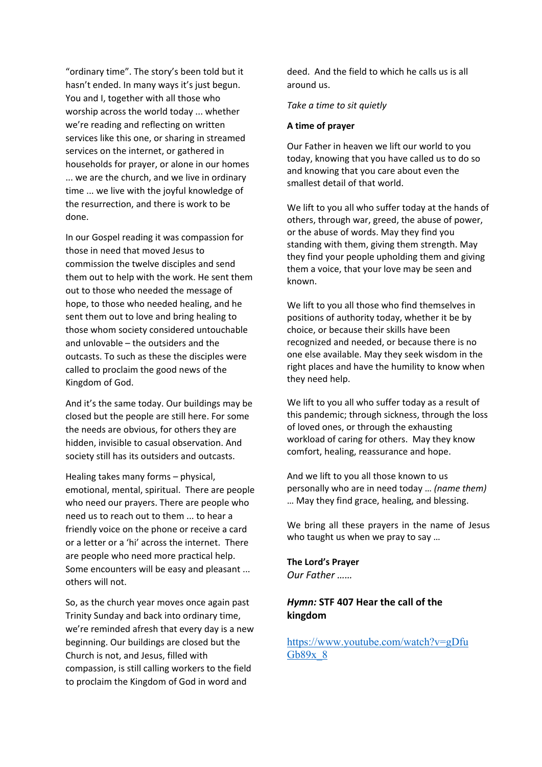"ordinary time". The story's been told but it hasn't ended. In many ways it's just begun. You and I, together with all those who worship across the world today ... whether we're reading and reflecting on written services like this one, or sharing in streamed services on the internet, or gathered in households for prayer, or alone in our homes ... we are the church, and we live in ordinary time ... we live with the joyful knowledge of the resurrection, and there is work to be done.

In our Gospel reading it was compassion for those in need that moved Jesus to commission the twelve disciples and send them out to help with the work. He sent them out to those who needed the message of hope, to those who needed healing, and he sent them out to love and bring healing to those whom society considered untouchable and unlovable – the outsiders and the outcasts. To such as these the disciples were called to proclaim the good news of the Kingdom of God.

And it's the same today. Our buildings may be closed but the people are still here. For some the needs are obvious, for others they are hidden, invisible to casual observation. And society still has its outsiders and outcasts.

Healing takes many forms – physical, emotional, mental, spiritual. There are people who need our prayers. There are people who need us to reach out to them ... to hear a friendly voice on the phone or receive a card or a letter or a 'hi' across the internet. There are people who need more practical help. Some encounters will be easy and pleasant ... others will not.

So, as the church year moves once again past Trinity Sunday and back into ordinary time, we're reminded afresh that every day is a new beginning. Our buildings are closed but the Church is not, and Jesus, filled with compassion, is still calling workers to the field to proclaim the Kingdom of God in word and

deed. And the field to which he calls us is all around us.

### *Take a time to sit quietly*

### **A time of prayer**

Our Father in heaven we lift our world to you today, knowing that you have called us to do so and knowing that you care about even the smallest detail of that world.

We lift to you all who suffer today at the hands of others, through war, greed, the abuse of power, or the abuse of words. May they find you standing with them, giving them strength. May they find your people upholding them and giving them a voice, that your love may be seen and known.

We lift to you all those who find themselves in positions of authority today, whether it be by choice, or because their skills have been recognized and needed, or because there is no one else available. May they seek wisdom in the right places and have the humility to know when they need help.

We lift to you all who suffer today as a result of this pandemic; through sickness, through the loss of loved ones, or through the exhausting workload of caring for others. May they know comfort, healing, reassurance and hope.

And we lift to you all those known to us personally who are in need today … *(name them)* … May they find grace, healing, and blessing.

We bring all these prayers in the name of Jesus who taught us when we pray to say …

**The Lord's Prayer** *Our Father ……*

# *Hymn:* **STF 407 Hear the call of the kingdom**

[https://www.youtube.com/watch?v=gDfu](https://www.youtube.com/watch?v=gDfuGb89x_8) [Gb89x\\_8](https://www.youtube.com/watch?v=gDfuGb89x_8)